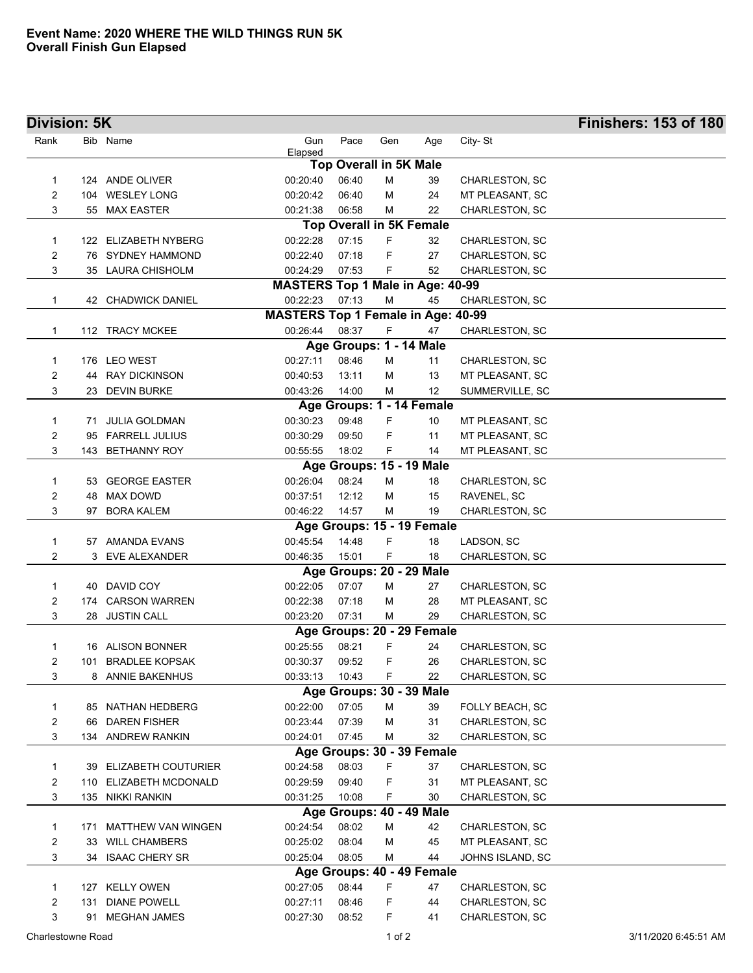| <b>Division: 5K</b> |      |                           |                                           |                               |     |                                 |                       | <b>Finishers: 153 of 180</b> |
|---------------------|------|---------------------------|-------------------------------------------|-------------------------------|-----|---------------------------------|-----------------------|------------------------------|
| Rank                |      | Bib Name                  | Gun<br>Elapsed                            | Pace                          | Gen | Age                             | City-St               |                              |
|                     |      |                           |                                           | <b>Top Overall in 5K Male</b> |     |                                 |                       |                              |
| 1                   |      | 124 ANDE OLIVER           | 00:20:40                                  | 06:40                         | M   | 39                              | CHARLESTON, SC        |                              |
| 2                   |      | 104 WESLEY LONG           | 00:20:42                                  | 06:40                         | М   | 24                              | MT PLEASANT, SC       |                              |
| 3                   |      | 55 MAX EASTER             | 00:21:38                                  | 06:58                         | M   | 22                              | CHARLESTON, SC        |                              |
|                     |      |                           |                                           |                               |     | <b>Top Overall in 5K Female</b> |                       |                              |
| 1                   |      | 122 ELIZABETH NYBERG      | 00:22:28                                  | 07:15                         | F.  | 32                              | CHARLESTON, SC        |                              |
| 2                   |      | 76 SYDNEY HAMMOND         | 00:22:40                                  | 07:18                         | F   | 27                              | CHARLESTON, SC        |                              |
| 3                   |      | 35 LAURA CHISHOLM         | 00:24:29                                  | 07:53                         | F   | 52                              | CHARLESTON, SC        |                              |
|                     |      |                           | <b>MASTERS Top 1 Male in Age: 40-99</b>   |                               |     |                                 |                       |                              |
| 1                   |      | 42 CHADWICK DANIEL        | 00:22:23                                  | 07:13                         | M   | 45                              | CHARLESTON, SC        |                              |
|                     |      |                           | <b>MASTERS Top 1 Female in Age: 40-99</b> |                               |     |                                 |                       |                              |
| 1                   |      | 112 TRACY MCKEE           | 00:26:44                                  | 08:37                         | F   | 47                              | CHARLESTON, SC        |                              |
|                     |      |                           |                                           | Age Groups: 1 - 14 Male       |     |                                 |                       |                              |
| 1                   |      | 176 LEO WEST              | 00:27:11                                  | 08:46                         | м   | 11                              | CHARLESTON, SC        |                              |
| 2                   |      | 44 RAY DICKINSON          | 00:40:53                                  | 13:11                         | M   | 13                              | MT PLEASANT, SC       |                              |
| 3                   |      | 23 DEVIN BURKE            | 00:43:26                                  | 14:00                         | М   | 12                              | SUMMERVILLE, SC       |                              |
|                     |      |                           |                                           |                               |     | Age Groups: 1 - 14 Female       |                       |                              |
| 1                   |      | 71 JULIA GOLDMAN          | 00:30:23                                  | 09:48                         | F   | 10                              | MT PLEASANT, SC       |                              |
| 2                   |      | 95 FARRELL JULIUS         | 00:30:29                                  | 09:50                         | F   | 11                              | MT PLEASANT, SC       |                              |
| 3                   |      | 143 BETHANNY ROY          | 00:55:55                                  | 18:02                         | F   | 14                              | MT PLEASANT, SC       |                              |
|                     |      |                           |                                           |                               |     | Age Groups: 15 - 19 Male        |                       |                              |
| 1                   |      | 53 GEORGE EASTER          | 00:26:04                                  | 08:24                         | M   | 18                              | CHARLESTON, SC        |                              |
| 2                   | 48   | MAX DOWD                  | 00:37:51                                  | 12:12                         | м   | 15                              | RAVENEL, SC           |                              |
| 3                   | 97   | <b>BORA KALEM</b>         | 00:46:22                                  | 14:57                         | м   | 19                              | CHARLESTON, SC        |                              |
|                     |      |                           |                                           |                               |     | Age Groups: 15 - 19 Female      |                       |                              |
| 1                   | 57   | AMANDA EVANS              | 00:45:54                                  | 14:48                         | F   | 18                              | LADSON, SC            |                              |
| 2                   | 3    | EVE ALEXANDER             | 00:46:35                                  | 15:01                         | F   | 18                              | CHARLESTON, SC        |                              |
|                     |      |                           |                                           |                               |     | Age Groups: 20 - 29 Male        |                       |                              |
| 1                   |      | 40 DAVID COY              | 00:22:05                                  | 07:07                         | М   | 27                              | CHARLESTON, SC        |                              |
| 2                   |      | 174 CARSON WARREN         | 00:22:38                                  | 07:18                         | М   | 28                              | MT PLEASANT, SC       |                              |
| 3                   |      | 28 JUSTIN CALL            | 00:23:20                                  | 07:31                         | м   | 29                              | CHARLESTON, SC        |                              |
|                     |      |                           |                                           |                               |     | Age Groups: 20 - 29 Female      |                       |                              |
| 1                   |      | 16 ALISON BONNER          | 00:25:55                                  | 08:21                         | F   | 24                              | CHARLESTON, SC        |                              |
| 2                   |      | 101 BRADLEE KOPSAK        | 00:30:37                                  | 09:52                         | F.  | 26                              | <b>CHARLESTON, SC</b> |                              |
| 3                   |      | 8 ANNIE BAKENHUS          | 00:33:13                                  | 10:43                         | F.  | 22                              | CHARLESTON, SC        |                              |
|                     |      |                           |                                           |                               |     | Age Groups: 30 - 39 Male        |                       |                              |
| 1                   |      | 85 NATHAN HEDBERG         | 00:22:00                                  | 07:05                         | м   | 39                              | FOLLY BEACH, SC       |                              |
| 2                   | 66   | <b>DAREN FISHER</b>       | 00:23:44                                  | 07:39                         | M   | 31                              | CHARLESTON, SC        |                              |
| 3                   |      | 134 ANDREW RANKIN         | 00:24:01                                  | 07:45                         | M   | 32                              | CHARLESTON, SC        |                              |
|                     |      |                           |                                           |                               |     | Age Groups: 30 - 39 Female      |                       |                              |
| 1                   | 39   | ELIZABETH COUTURIER       | 00:24:58                                  | 08:03                         | F   | 37                              | CHARLESTON, SC        |                              |
| 2                   | 110  | ELIZABETH MCDONALD        | 00:29:59                                  | 09:40                         | F   | 31                              | MT PLEASANT, SC       |                              |
| 3                   | 135. | <b>NIKKI RANKIN</b>       | 00:31:25                                  | 10:08                         | F.  | 30                              | CHARLESTON, SC        |                              |
|                     |      |                           |                                           |                               |     | Age Groups: 40 - 49 Male        |                       |                              |
| 1                   | 171  | <b>MATTHEW VAN WINGEN</b> | 00:24:54                                  | 08:02                         | M   | 42                              | CHARLESTON, SC        |                              |
| 2                   | 33   | <b>WILL CHAMBERS</b>      | 00:25:02                                  | 08:04                         | M   | 45                              | MT PLEASANT, SC       |                              |
| 3                   |      | 34 ISAAC CHERY SR         | 00:25:04                                  | 08:05                         | M   | 44                              | JOHNS ISLAND, SC      |                              |
|                     |      |                           |                                           |                               |     | Age Groups: 40 - 49 Female      |                       |                              |
| 1                   |      | 127 KELLY OWEN            | 00:27:05                                  | 08:44                         | F   | 47                              | CHARLESTON, SC        |                              |
| 2                   | 131  | <b>DIANE POWELL</b>       | 00:27:11                                  | 08:46                         | F   | 44                              | CHARLESTON, SC        |                              |
| 3                   | 91   | <b>MEGHAN JAMES</b>       | 00:27:30                                  | 08:52                         | F.  | 41                              | CHARLESTON, SC        |                              |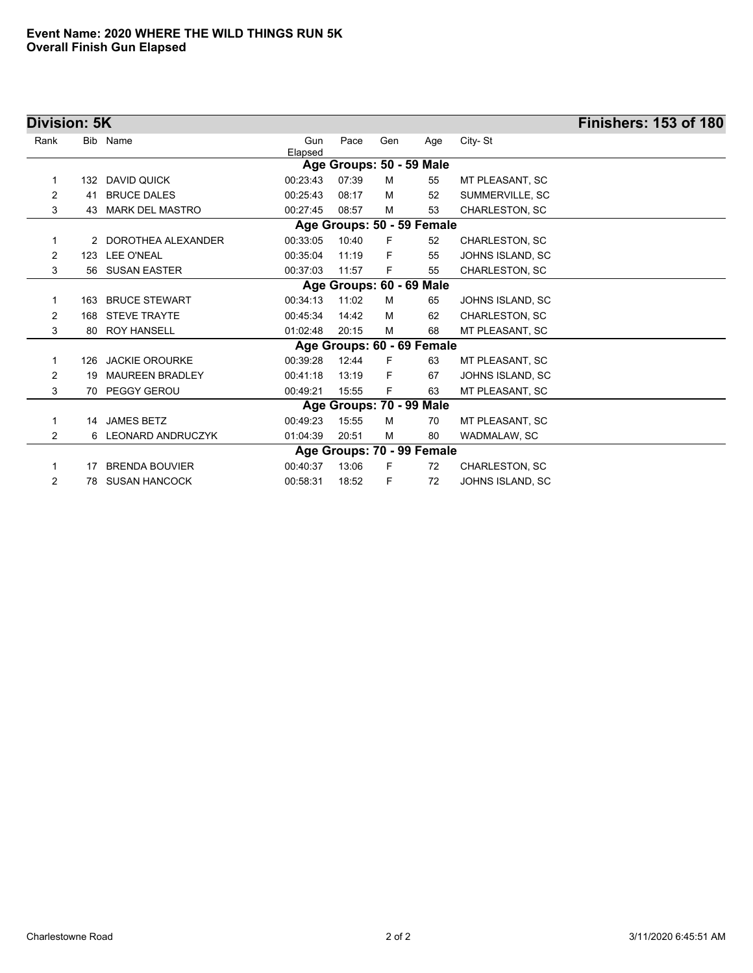| Division: 5K   |     |                          |                |       |     |                            |                       | <b>Finishers: 153 of 180</b> |
|----------------|-----|--------------------------|----------------|-------|-----|----------------------------|-----------------------|------------------------------|
| Rank           |     | Bib Name                 | Gun<br>Elapsed | Pace  | Gen | Age                        | City-St               |                              |
|                |     |                          |                |       |     | Age Groups: 50 - 59 Male   |                       |                              |
| 1              | 132 | DAVID QUICK              | 00:23:43       | 07:39 | M   | 55                         | MT PLEASANT, SC       |                              |
| $\overline{2}$ | 41  | <b>BRUCE DALES</b>       | 00:25:43       | 08:17 | M   | 52                         | SUMMERVILLE, SC       |                              |
| 3              | 43  | <b>MARK DEL MASTRO</b>   | 00:27:45       | 08:57 | м   | 53                         | <b>CHARLESTON, SC</b> |                              |
|                |     |                          |                |       |     | Age Groups: 50 - 59 Female |                       |                              |
| 1              |     | 2 DOROTHEA ALEXANDER     | 00:33:05       | 10:40 | F   | 52                         | CHARLESTON, SC        |                              |
| $\overline{2}$ | 123 | <b>LEE O'NEAL</b>        | 00:35:04       | 11:19 | F   | 55                         | JOHNS ISLAND, SC      |                              |
| 3              | 56  | <b>SUSAN EASTER</b>      | 00:37:03       | 11:57 | F   | 55                         | CHARLESTON, SC        |                              |
|                |     |                          |                |       |     | Age Groups: 60 - 69 Male   |                       |                              |
| 1              | 163 | <b>BRUCE STEWART</b>     | 00:34:13       | 11:02 | м   | 65                         | JOHNS ISLAND, SC      |                              |
| 2              | 168 | <b>STEVE TRAYTE</b>      | 00:45:34       | 14:42 | M   | 62                         | <b>CHARLESTON, SC</b> |                              |
| 3              | 80  | <b>ROY HANSELL</b>       | 01:02:48       | 20:15 | M   | 68                         | MT PLEASANT, SC       |                              |
|                |     |                          |                |       |     | Age Groups: 60 - 69 Female |                       |                              |
| 1              |     | 126 JACKIE OROURKE       | 00:39:28       | 12:44 | F   | 63                         | MT PLEASANT, SC       |                              |
| $\overline{2}$ | 19  | <b>MAUREEN BRADLEY</b>   | 00:41:18       | 13:19 | F   | 67                         | JOHNS ISLAND, SC      |                              |
| 3              | 70  | PEGGY GEROU              | 00:49:21       | 15:55 | F.  | 63                         | MT PLEASANT, SC       |                              |
|                |     |                          |                |       |     | Age Groups: 70 - 99 Male   |                       |                              |
| 1              |     | 14 JAMES BETZ            | 00:49:23       | 15:55 | M   | 70                         | MT PLEASANT, SC       |                              |
| 2              | 6   | <b>LEONARD ANDRUCZYK</b> | 01:04:39       | 20:51 | м   | 80                         | WADMALAW, SC          |                              |
|                |     |                          |                |       |     | Age Groups: 70 - 99 Female |                       |                              |
| 1              | 17  | <b>BRENDA BOUVIER</b>    | 00:40:37       | 13:06 | F   | 72                         | <b>CHARLESTON, SC</b> |                              |
| 2              | 78  | <b>SUSAN HANCOCK</b>     | 00:58:31       | 18:52 | F   | 72                         | JOHNS ISLAND, SC      |                              |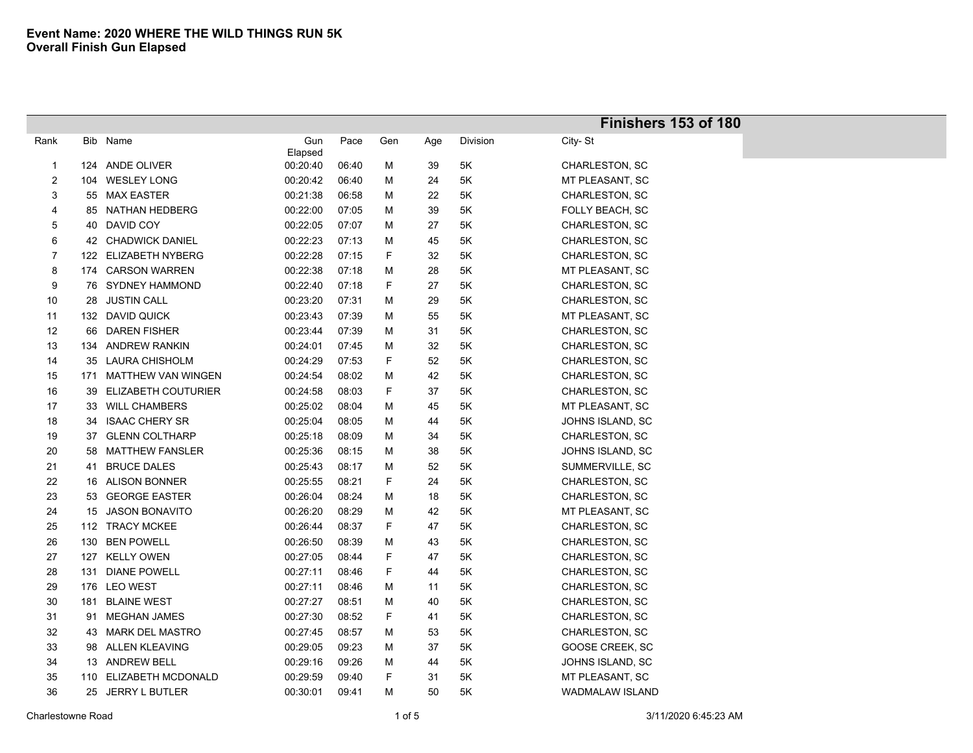| Bib Name<br>Gun<br>Pace<br>Gen<br>Division<br>City-St<br>Rank<br>Age<br>Elapsed<br>124 ANDE OLIVER<br>00:20:40<br>CHARLESTON, SC<br>06:40<br>39<br>5K<br>М<br>$\mathbf{1}$<br>$\overline{c}$<br>104 WESLEY LONG<br>00:20:42<br>06:40<br>24<br>5K<br>MT PLEASANT, SC<br>Μ<br>55 MAX EASTER<br>00:21:38<br>3<br>06:58<br>Μ<br>22<br>5K<br>CHARLESTON, SC<br>85 NATHAN HEDBERG<br>00:22:00<br>07:05<br>39<br>5K<br>FOLLY BEACH, SC<br>Μ<br>4<br>5<br>40 DAVID COY<br>00:22:05<br>07:07<br>27<br>5K<br>CHARLESTON, SC<br>Μ<br>6<br>42 CHADWICK DANIEL<br>00:22:23<br>07:13<br>5K<br>CHARLESTON, SC<br>Μ<br>45<br>$\overline{7}$<br>00:22:28<br>07:15<br>F<br>32<br>5K<br>122 ELIZABETH NYBERG<br>CHARLESTON, SC<br>8<br>00:22:38<br>5K<br>174 CARSON WARREN<br>07:18<br>Μ<br>28<br>MT PLEASANT, SC<br>76 SYDNEY HAMMOND<br>00:22:40<br>F<br>5K<br>CHARLESTON, SC<br>9<br>07:18<br>27<br>10<br><b>JUSTIN CALL</b><br>00:23:20<br>07:31<br>Μ<br>29<br>5K<br>CHARLESTON, SC<br>28<br>132 DAVID QUICK<br>00:23:43<br>07:39<br>Μ<br>55<br>5K<br>MT PLEASANT, SC<br>11<br>12<br>66 DAREN FISHER<br>00:23:44<br>07:39<br>Μ<br>31<br>5K<br>CHARLESTON, SC<br>00:24:01<br>13<br>134 ANDREW RANKIN<br>07:45<br>Μ<br>32<br>5K<br>CHARLESTON, SC<br>00:24:29<br>F<br>14<br>35 LAURA CHISHOLM<br>07:53<br>52<br>5K<br>CHARLESTON, SC<br>00:24:54<br>15<br>171 MATTHEW VAN WINGEN<br>08:02<br>Μ<br>42<br>5K<br>CHARLESTON, SC<br>39 ELIZABETH COUTURIER<br>F<br>16<br>00:24:58<br>08:03<br>37<br>5K<br>CHARLESTON, SC<br>17<br>33 WILL CHAMBERS<br>00:25:02<br>08:04<br>Μ<br>45<br>5Κ<br>MT PLEASANT, SC<br>18<br><b>ISAAC CHERY SR</b><br>00:25:04<br>08:05<br>Μ<br>5K<br>JOHNS ISLAND, SC<br>34<br>44<br>19<br><b>GLENN COLTHARP</b><br>00:25:18<br>08:09<br>М<br>34<br>5K<br>CHARLESTON, SC<br>37 |  |
|------------------------------------------------------------------------------------------------------------------------------------------------------------------------------------------------------------------------------------------------------------------------------------------------------------------------------------------------------------------------------------------------------------------------------------------------------------------------------------------------------------------------------------------------------------------------------------------------------------------------------------------------------------------------------------------------------------------------------------------------------------------------------------------------------------------------------------------------------------------------------------------------------------------------------------------------------------------------------------------------------------------------------------------------------------------------------------------------------------------------------------------------------------------------------------------------------------------------------------------------------------------------------------------------------------------------------------------------------------------------------------------------------------------------------------------------------------------------------------------------------------------------------------------------------------------------------------------------------------------------------------------------------------------------------------------------------------------------------------------------------------------------------------|--|
|                                                                                                                                                                                                                                                                                                                                                                                                                                                                                                                                                                                                                                                                                                                                                                                                                                                                                                                                                                                                                                                                                                                                                                                                                                                                                                                                                                                                                                                                                                                                                                                                                                                                                                                                                                                    |  |
|                                                                                                                                                                                                                                                                                                                                                                                                                                                                                                                                                                                                                                                                                                                                                                                                                                                                                                                                                                                                                                                                                                                                                                                                                                                                                                                                                                                                                                                                                                                                                                                                                                                                                                                                                                                    |  |
|                                                                                                                                                                                                                                                                                                                                                                                                                                                                                                                                                                                                                                                                                                                                                                                                                                                                                                                                                                                                                                                                                                                                                                                                                                                                                                                                                                                                                                                                                                                                                                                                                                                                                                                                                                                    |  |
|                                                                                                                                                                                                                                                                                                                                                                                                                                                                                                                                                                                                                                                                                                                                                                                                                                                                                                                                                                                                                                                                                                                                                                                                                                                                                                                                                                                                                                                                                                                                                                                                                                                                                                                                                                                    |  |
|                                                                                                                                                                                                                                                                                                                                                                                                                                                                                                                                                                                                                                                                                                                                                                                                                                                                                                                                                                                                                                                                                                                                                                                                                                                                                                                                                                                                                                                                                                                                                                                                                                                                                                                                                                                    |  |
|                                                                                                                                                                                                                                                                                                                                                                                                                                                                                                                                                                                                                                                                                                                                                                                                                                                                                                                                                                                                                                                                                                                                                                                                                                                                                                                                                                                                                                                                                                                                                                                                                                                                                                                                                                                    |  |
|                                                                                                                                                                                                                                                                                                                                                                                                                                                                                                                                                                                                                                                                                                                                                                                                                                                                                                                                                                                                                                                                                                                                                                                                                                                                                                                                                                                                                                                                                                                                                                                                                                                                                                                                                                                    |  |
|                                                                                                                                                                                                                                                                                                                                                                                                                                                                                                                                                                                                                                                                                                                                                                                                                                                                                                                                                                                                                                                                                                                                                                                                                                                                                                                                                                                                                                                                                                                                                                                                                                                                                                                                                                                    |  |
|                                                                                                                                                                                                                                                                                                                                                                                                                                                                                                                                                                                                                                                                                                                                                                                                                                                                                                                                                                                                                                                                                                                                                                                                                                                                                                                                                                                                                                                                                                                                                                                                                                                                                                                                                                                    |  |
|                                                                                                                                                                                                                                                                                                                                                                                                                                                                                                                                                                                                                                                                                                                                                                                                                                                                                                                                                                                                                                                                                                                                                                                                                                                                                                                                                                                                                                                                                                                                                                                                                                                                                                                                                                                    |  |
|                                                                                                                                                                                                                                                                                                                                                                                                                                                                                                                                                                                                                                                                                                                                                                                                                                                                                                                                                                                                                                                                                                                                                                                                                                                                                                                                                                                                                                                                                                                                                                                                                                                                                                                                                                                    |  |
|                                                                                                                                                                                                                                                                                                                                                                                                                                                                                                                                                                                                                                                                                                                                                                                                                                                                                                                                                                                                                                                                                                                                                                                                                                                                                                                                                                                                                                                                                                                                                                                                                                                                                                                                                                                    |  |
|                                                                                                                                                                                                                                                                                                                                                                                                                                                                                                                                                                                                                                                                                                                                                                                                                                                                                                                                                                                                                                                                                                                                                                                                                                                                                                                                                                                                                                                                                                                                                                                                                                                                                                                                                                                    |  |
|                                                                                                                                                                                                                                                                                                                                                                                                                                                                                                                                                                                                                                                                                                                                                                                                                                                                                                                                                                                                                                                                                                                                                                                                                                                                                                                                                                                                                                                                                                                                                                                                                                                                                                                                                                                    |  |
|                                                                                                                                                                                                                                                                                                                                                                                                                                                                                                                                                                                                                                                                                                                                                                                                                                                                                                                                                                                                                                                                                                                                                                                                                                                                                                                                                                                                                                                                                                                                                                                                                                                                                                                                                                                    |  |
|                                                                                                                                                                                                                                                                                                                                                                                                                                                                                                                                                                                                                                                                                                                                                                                                                                                                                                                                                                                                                                                                                                                                                                                                                                                                                                                                                                                                                                                                                                                                                                                                                                                                                                                                                                                    |  |
|                                                                                                                                                                                                                                                                                                                                                                                                                                                                                                                                                                                                                                                                                                                                                                                                                                                                                                                                                                                                                                                                                                                                                                                                                                                                                                                                                                                                                                                                                                                                                                                                                                                                                                                                                                                    |  |
|                                                                                                                                                                                                                                                                                                                                                                                                                                                                                                                                                                                                                                                                                                                                                                                                                                                                                                                                                                                                                                                                                                                                                                                                                                                                                                                                                                                                                                                                                                                                                                                                                                                                                                                                                                                    |  |
|                                                                                                                                                                                                                                                                                                                                                                                                                                                                                                                                                                                                                                                                                                                                                                                                                                                                                                                                                                                                                                                                                                                                                                                                                                                                                                                                                                                                                                                                                                                                                                                                                                                                                                                                                                                    |  |
|                                                                                                                                                                                                                                                                                                                                                                                                                                                                                                                                                                                                                                                                                                                                                                                                                                                                                                                                                                                                                                                                                                                                                                                                                                                                                                                                                                                                                                                                                                                                                                                                                                                                                                                                                                                    |  |
|                                                                                                                                                                                                                                                                                                                                                                                                                                                                                                                                                                                                                                                                                                                                                                                                                                                                                                                                                                                                                                                                                                                                                                                                                                                                                                                                                                                                                                                                                                                                                                                                                                                                                                                                                                                    |  |
| $20\,$<br><b>MATTHEW FANSLER</b><br>00:25:36<br>08:15<br>5K<br>М<br>38<br>JOHNS ISLAND, SC<br>58                                                                                                                                                                                                                                                                                                                                                                                                                                                                                                                                                                                                                                                                                                                                                                                                                                                                                                                                                                                                                                                                                                                                                                                                                                                                                                                                                                                                                                                                                                                                                                                                                                                                                   |  |
| 41 BRUCE DALES<br>00:25:43<br>52<br>5K<br>21<br>08:17<br>Μ<br>SUMMERVILLE, SC                                                                                                                                                                                                                                                                                                                                                                                                                                                                                                                                                                                                                                                                                                                                                                                                                                                                                                                                                                                                                                                                                                                                                                                                                                                                                                                                                                                                                                                                                                                                                                                                                                                                                                      |  |
| 22<br>16 ALISON BONNER<br>00:25:55<br>08:21<br>F<br>24<br>5K<br>CHARLESTON, SC                                                                                                                                                                                                                                                                                                                                                                                                                                                                                                                                                                                                                                                                                                                                                                                                                                                                                                                                                                                                                                                                                                                                                                                                                                                                                                                                                                                                                                                                                                                                                                                                                                                                                                     |  |
| 23<br>53 GEORGE EASTER<br>00:26:04<br>08:24<br>5K<br>CHARLESTON, SC<br>Μ<br>18                                                                                                                                                                                                                                                                                                                                                                                                                                                                                                                                                                                                                                                                                                                                                                                                                                                                                                                                                                                                                                                                                                                                                                                                                                                                                                                                                                                                                                                                                                                                                                                                                                                                                                     |  |
| 24<br>15 JASON BONAVITO<br>00:26:20<br>08:29<br>Μ<br>42<br>5K<br>MT PLEASANT, SC                                                                                                                                                                                                                                                                                                                                                                                                                                                                                                                                                                                                                                                                                                                                                                                                                                                                                                                                                                                                                                                                                                                                                                                                                                                                                                                                                                                                                                                                                                                                                                                                                                                                                                   |  |
| 00:26:44<br>112 TRACY MCKEE<br>08:37<br>F<br>47<br>5K<br>CHARLESTON, SC<br>25                                                                                                                                                                                                                                                                                                                                                                                                                                                                                                                                                                                                                                                                                                                                                                                                                                                                                                                                                                                                                                                                                                                                                                                                                                                                                                                                                                                                                                                                                                                                                                                                                                                                                                      |  |
| 00:26:50<br>26<br>130<br><b>BEN POWELL</b><br>08:39<br>Μ<br>43<br>5K<br>CHARLESTON, SC                                                                                                                                                                                                                                                                                                                                                                                                                                                                                                                                                                                                                                                                                                                                                                                                                                                                                                                                                                                                                                                                                                                                                                                                                                                                                                                                                                                                                                                                                                                                                                                                                                                                                             |  |
| 127 KELLY OWEN<br>00:27:05<br>F<br>27<br>08:44<br>47<br>5K<br>CHARLESTON, SC                                                                                                                                                                                                                                                                                                                                                                                                                                                                                                                                                                                                                                                                                                                                                                                                                                                                                                                                                                                                                                                                                                                                                                                                                                                                                                                                                                                                                                                                                                                                                                                                                                                                                                       |  |
| F<br>131 DIANE POWELL<br>00:27:11<br>CHARLESTON, SC<br>28<br>08:46<br>44<br>5K                                                                                                                                                                                                                                                                                                                                                                                                                                                                                                                                                                                                                                                                                                                                                                                                                                                                                                                                                                                                                                                                                                                                                                                                                                                                                                                                                                                                                                                                                                                                                                                                                                                                                                     |  |
| 29<br>176 LEO WEST<br>00:27:11<br>CHARLESTON, SC<br>08:46<br>Μ<br>5K<br>11                                                                                                                                                                                                                                                                                                                                                                                                                                                                                                                                                                                                                                                                                                                                                                                                                                                                                                                                                                                                                                                                                                                                                                                                                                                                                                                                                                                                                                                                                                                                                                                                                                                                                                         |  |
| 30<br><b>BLAINE WEST</b><br>00:27:27<br>08:51<br>40<br>5K<br>CHARLESTON, SC<br>181<br>Μ                                                                                                                                                                                                                                                                                                                                                                                                                                                                                                                                                                                                                                                                                                                                                                                                                                                                                                                                                                                                                                                                                                                                                                                                                                                                                                                                                                                                                                                                                                                                                                                                                                                                                            |  |
| F<br>MEGHAN JAMES<br>00:27:30<br>08:52<br>5K<br>CHARLESTON, SC<br>31<br>41<br>91                                                                                                                                                                                                                                                                                                                                                                                                                                                                                                                                                                                                                                                                                                                                                                                                                                                                                                                                                                                                                                                                                                                                                                                                                                                                                                                                                                                                                                                                                                                                                                                                                                                                                                   |  |
| 32<br>43 MARK DEL MASTRO<br>00:27:45<br>08:57<br>Μ<br>53<br>5K<br>CHARLESTON, SC                                                                                                                                                                                                                                                                                                                                                                                                                                                                                                                                                                                                                                                                                                                                                                                                                                                                                                                                                                                                                                                                                                                                                                                                                                                                                                                                                                                                                                                                                                                                                                                                                                                                                                   |  |
| 33<br><b>ALLEN KLEAVING</b><br>00:29:05<br>37<br>5K<br>09:23<br>М<br>GOOSE CREEK, SC<br>98                                                                                                                                                                                                                                                                                                                                                                                                                                                                                                                                                                                                                                                                                                                                                                                                                                                                                                                                                                                                                                                                                                                                                                                                                                                                                                                                                                                                                                                                                                                                                                                                                                                                                         |  |
| 34<br>13 ANDREW BELL<br>00:29:16<br>09:26<br>44<br>5K<br>JOHNS ISLAND, SC<br>Μ                                                                                                                                                                                                                                                                                                                                                                                                                                                                                                                                                                                                                                                                                                                                                                                                                                                                                                                                                                                                                                                                                                                                                                                                                                                                                                                                                                                                                                                                                                                                                                                                                                                                                                     |  |
| 110 ELIZABETH MCDONALD<br>F<br>5K<br>MT PLEASANT, SC<br>35<br>00:29:59<br>09:40<br>31                                                                                                                                                                                                                                                                                                                                                                                                                                                                                                                                                                                                                                                                                                                                                                                                                                                                                                                                                                                                                                                                                                                                                                                                                                                                                                                                                                                                                                                                                                                                                                                                                                                                                              |  |
| 36<br>00:30:01<br>50<br>25 JERRY L BUTLER<br>09:41<br>М<br>5Κ<br><b>WADMALAW ISLAND</b>                                                                                                                                                                                                                                                                                                                                                                                                                                                                                                                                                                                                                                                                                                                                                                                                                                                                                                                                                                                                                                                                                                                                                                                                                                                                                                                                                                                                                                                                                                                                                                                                                                                                                            |  |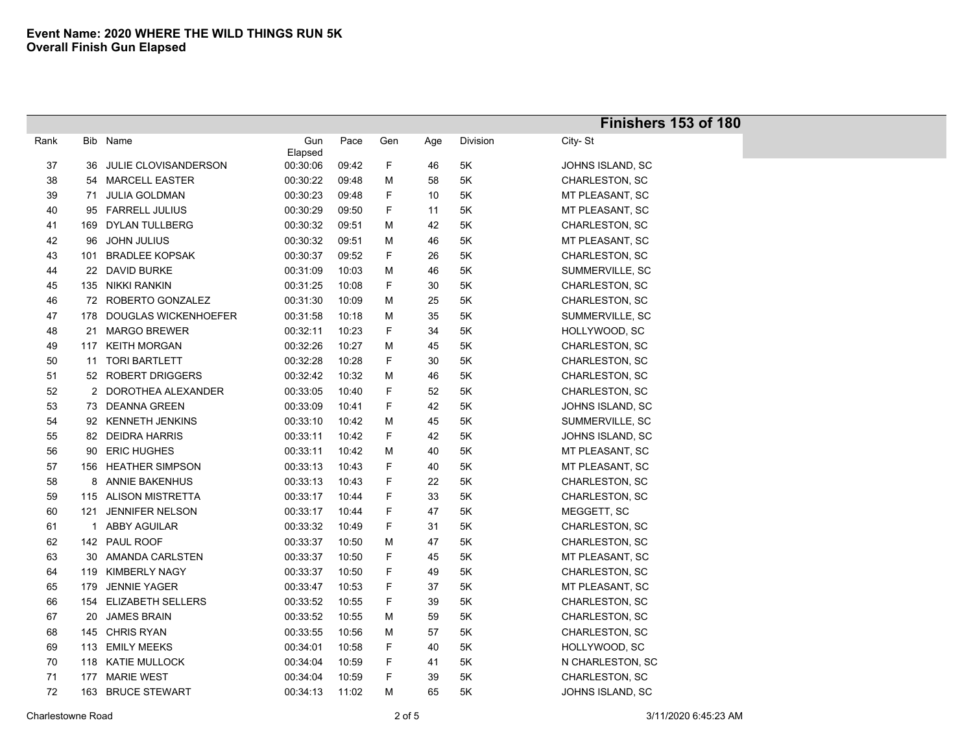|        |     |                          |          |       |             |     |               | Finishers 153 of 180  |
|--------|-----|--------------------------|----------|-------|-------------|-----|---------------|-----------------------|
| Rank   | Bib | Name                     | Gun      | Pace  | Gen         | Age | Division      | City-St               |
|        |     |                          | Elapsed  |       |             |     |               |                       |
| $37\,$ | 36  | JULIE CLOVISANDERSON     | 00:30:06 | 09:42 | $\mathsf F$ | 46  | 5K            | JOHNS ISLAND, SC      |
| 38     |     | 54 MARCELL EASTER        | 00:30:22 | 09:48 | M           | 58  | 5K            | CHARLESTON, SC        |
| 39     | 71  | <b>JULIA GOLDMAN</b>     | 00:30:23 | 09:48 | F           | 10  | 5K            | MT PLEASANT, SC       |
| 40     |     | 95 FARRELL JULIUS        | 00:30:29 | 09:50 | F           | 11  | 5Κ            | MT PLEASANT, SC       |
| 41     |     | 169 DYLAN TULLBERG       | 00:30:32 | 09:51 | M           | 42  | 5Κ            | CHARLESTON, SC        |
| 42     | 96  | JOHN JULIUS              | 00:30:32 | 09:51 | M           | 46  | 5Κ            | MT PLEASANT, SC       |
| 43     | 101 | <b>BRADLEE KOPSAK</b>    | 00:30:37 | 09:52 | F           | 26  | 5K            | CHARLESTON, SC        |
| 44     |     | 22 DAVID BURKE           | 00:31:09 | 10:03 | M           | 46  | 5K            | SUMMERVILLE, SC       |
| 45     |     | 135 NIKKI RANKIN         | 00:31:25 | 10:08 | F           | 30  | 5Κ            | <b>CHARLESTON, SC</b> |
| 46     |     | 72 ROBERTO GONZALEZ      | 00:31:30 | 10:09 | M           | 25  | 5K            | CHARLESTON, SC        |
| 47     |     | 178 DOUGLAS WICKENHOEFER | 00:31:58 | 10:18 | M           | 35  | 5K            | SUMMERVILLE, SC       |
| 48     |     | 21 MARGO BREWER          | 00:32:11 | 10:23 | F           | 34  | 5K            | HOLLYWOOD, SC         |
| 49     |     | 117 KEITH MORGAN         | 00:32:26 | 10:27 | M           | 45  | 5K            | CHARLESTON, SC        |
| 50     | 11  | <b>TORI BARTLETT</b>     | 00:32:28 | 10:28 | F           | 30  | 5K            | CHARLESTON, SC        |
| 51     |     | 52 ROBERT DRIGGERS       | 00:32:42 | 10:32 | M           | 46  | 5K            | CHARLESTON, SC        |
| 52     |     | 2 DOROTHEA ALEXANDER     | 00:33:05 | 10:40 | F           | 52  | 5K            | CHARLESTON, SC        |
| 53     |     | 73 DEANNA GREEN          | 00:33:09 | 10:41 | F           | 42  | 5Κ            | JOHNS ISLAND, SC      |
| 54     |     | 92 KENNETH JENKINS       | 00:33:10 | 10:42 | M           | 45  | 5Κ            | SUMMERVILLE, SC       |
| 55     |     | 82 DEIDRA HARRIS         | 00:33:11 | 10:42 | F           | 42  | 5K            | JOHNS ISLAND, SC      |
| 56     |     | 90 ERIC HUGHES           | 00:33:11 | 10:42 | M           | 40  | 5Κ            | MT PLEASANT, SC       |
| 57     |     | 156 HEATHER SIMPSON      | 00:33:13 | 10:43 | F           | 40  | 5K            | MT PLEASANT, SC       |
| 58     |     | 8 ANNIE BAKENHUS         | 00:33:13 | 10:43 | F           | 22  | $5K$          | CHARLESTON, SC        |
| 59     |     | 115 ALISON MISTRETTA     | 00:33:17 | 10:44 | F           | 33  | 5K            | CHARLESTON, SC        |
| 60     | 121 | <b>JENNIFER NELSON</b>   | 00:33:17 | 10:44 | F           | 47  | $5\mathsf{K}$ | MEGGETT, SC           |
| 61     |     | 1 ABBY AGUILAR           | 00:33:32 | 10:49 | F           | 31  | 5K            | CHARLESTON, SC        |
| 62     |     | 142 PAUL ROOF            | 00:33:37 | 10:50 | M           | 47  | 5Κ            | CHARLESTON, SC        |
| 63     |     | 30 AMANDA CARLSTEN       | 00:33:37 | 10:50 | F           | 45  | 5K            | MT PLEASANT, SC       |
| 64     |     | 119 KIMBERLY NAGY        | 00:33:37 | 10:50 | F           | 49  | 5Κ            | CHARLESTON, SC        |
| 65     | 179 | <b>JENNIE YAGER</b>      | 00:33:47 | 10:53 | F           | 37  | 5Κ            | MT PLEASANT, SC       |
| 66     |     | 154 ELIZABETH SELLERS    | 00:33:52 | 10:55 | F           | 39  | 5Κ            | CHARLESTON, SC        |
| 67     |     | 20 JAMES BRAIN           | 00:33:52 | 10:55 | M           | 59  | 5Κ            | CHARLESTON, SC        |
| 68     |     | 145 CHRIS RYAN           | 00:33:55 | 10:56 | M           | 57  | 5Κ            | <b>CHARLESTON, SC</b> |
| 69     |     | 113 EMILY MEEKS          | 00:34:01 | 10:58 | F           | 40  | 5K            | HOLLYWOOD, SC         |
| 70     |     | 118 KATIE MULLOCK        | 00:34:04 | 10:59 | F           | 41  | 5Κ            | N CHARLESTON, SC      |
| 71     | 177 | <b>MARIE WEST</b>        | 00:34:04 | 10:59 | F           | 39  | 5K            | CHARLESTON, SC        |
| 72     |     | 163 BRUCE STEWART        | 00:34:13 | 11:02 | M           | 65  | 5K            | JOHNS ISLAND, SC      |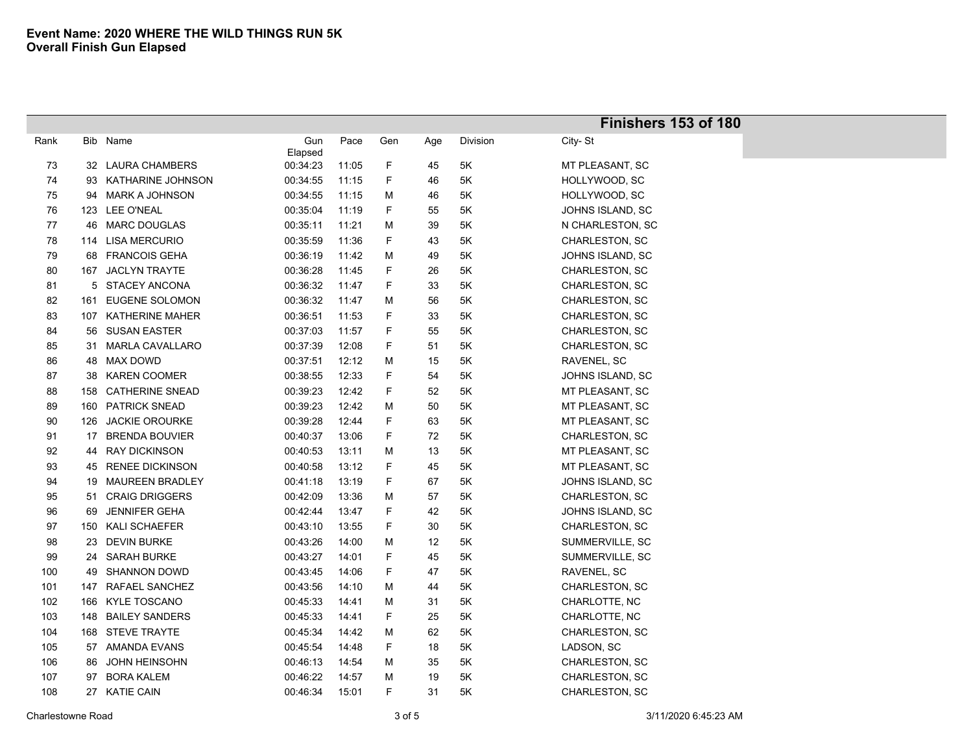|      |     |                        |                |       |     |     |          | Finishers 153 of 180 |
|------|-----|------------------------|----------------|-------|-----|-----|----------|----------------------|
| Rank |     | Bib Name               | Gun<br>Elapsed | Pace  | Gen | Age | Division | City-St              |
| 73   |     | 32 LAURA CHAMBERS      | 00:34:23       | 11:05 | F   | 45  | 5K       | MT PLEASANT, SC      |
| 74   | 93  | KATHARINE JOHNSON      | 00:34:55       | 11:15 | F   | 46  | 5K       | HOLLYWOOD, SC        |
| 75   | 94  | MARK A JOHNSON         | 00:34:55       | 11:15 | Μ   | 46  | 5K       | HOLLYWOOD, SC        |
| 76   |     | 123 LEE O'NEAL         | 00:35:04       | 11:19 | F   | 55  | 5K       | JOHNS ISLAND, SC     |
| 77   | 46  | <b>MARC DOUGLAS</b>    | 00:35:11       | 11:21 | M   | 39  | 5K       | N CHARLESTON, SC     |
| 78   |     | 114 LISA MERCURIO      | 00:35:59       | 11:36 | F   | 43  | 5K       | CHARLESTON, SC       |
| 79   | 68  | <b>FRANCOIS GEHA</b>   | 00:36:19       | 11:42 | Μ   | 49  | 5K       | JOHNS ISLAND, SC     |
| 80   | 167 | <b>JACLYN TRAYTE</b>   | 00:36:28       | 11:45 | F   | 26  | 5K       | CHARLESTON, SC       |
| 81   |     | 5 STACEY ANCONA        | 00:36:32       | 11:47 | F   | 33  | 5K       | CHARLESTON, SC       |
| 82   | 161 | EUGENE SOLOMON         | 00:36:32       | 11:47 | Μ   | 56  | 5K       | CHARLESTON, SC       |
| 83   |     | 107 KATHERINE MAHER    | 00:36:51       | 11:53 | F   | 33  | 5K       | CHARLESTON, SC       |
| 84   | 56  | <b>SUSAN EASTER</b>    | 00:37:03       | 11:57 | F   | 55  | 5K       | CHARLESTON, SC       |
| 85   |     | 31 MARLA CAVALLARO     | 00:37:39       | 12:08 | F   | 51  | 5K       | CHARLESTON, SC       |
| 86   |     | 48 MAX DOWD            | 00:37:51       | 12:12 | Μ   | 15  | 5K       | RAVENEL, SC          |
| 87   | 38  | <b>KAREN COOMER</b>    | 00:38:55       | 12:33 | F   | 54  | 5K       | JOHNS ISLAND, SC     |
| 88   | 158 | <b>CATHERINE SNEAD</b> | 00:39:23       | 12:42 | F   | 52  | 5K       | MT PLEASANT, SC      |
| 89   | 160 | <b>PATRICK SNEAD</b>   | 00:39:23       | 12:42 | Μ   | 50  | 5K       | MT PLEASANT, SC      |
| 90   | 126 | <b>JACKIE OROURKE</b>  | 00:39:28       | 12:44 | F   | 63  | 5K       | MT PLEASANT, SC      |
| 91   | 17  | <b>BRENDA BOUVIER</b>  | 00:40:37       | 13:06 | F   | 72  | 5K       | CHARLESTON, SC       |
| 92   | 44  | <b>RAY DICKINSON</b>   | 00:40:53       | 13:11 | М   | 13  | 5K       | MT PLEASANT, SC      |
| 93   | 45  | <b>RENEE DICKINSON</b> | 00:40:58       | 13:12 | F   | 45  | 5K       | MT PLEASANT, SC      |
| 94   | 19  | <b>MAUREEN BRADLEY</b> | 00:41:18       | 13:19 | F   | 67  | 5K       | JOHNS ISLAND, SC     |
| 95   | 51  | <b>CRAIG DRIGGERS</b>  | 00:42:09       | 13:36 | М   | 57  | 5K       | CHARLESTON, SC       |
| 96   | 69  | <b>JENNIFER GEHA</b>   | 00:42:44       | 13:47 | F   | 42  | 5K       | JOHNS ISLAND, SC     |
| 97   | 150 | <b>KALI SCHAEFER</b>   | 00:43:10       | 13:55 | F   | 30  | 5K       | CHARLESTON, SC       |
| 98   | 23  | <b>DEVIN BURKE</b>     | 00:43:26       | 14:00 | М   | 12  | 5K       | SUMMERVILLE, SC      |
| 99   |     | 24 SARAH BURKE         | 00:43:27       | 14:01 | F   | 45  | 5K       | SUMMERVILLE, SC      |
| 100  | 49  | <b>SHANNON DOWD</b>    | 00:43:45       | 14:06 | F   | 47  | 5K       | RAVENEL, SC          |
| 101  | 147 | RAFAEL SANCHEZ         | 00:43:56       | 14:10 | Μ   | 44  | 5K       | CHARLESTON, SC       |
| 102  | 166 | <b>KYLE TOSCANO</b>    | 00:45:33       | 14:41 | Μ   | 31  | 5K       | CHARLOTTE, NC        |
| 103  | 148 | <b>BAILEY SANDERS</b>  | 00:45:33       | 14:41 | F   | 25  | 5K       | CHARLOTTE, NC        |
| 104  |     | 168 STEVE TRAYTE       | 00:45:34       | 14:42 | М   | 62  | 5K       | CHARLESTON, SC       |
| 105  |     | 57 AMANDA EVANS        | 00:45:54       | 14:48 | F   | 18  | 5K       | LADSON, SC           |
| 106  | 86  | <b>JOHN HEINSOHN</b>   | 00:46:13       | 14:54 | Μ   | 35  | 5K       | CHARLESTON, SC       |
| 107  | 97  | <b>BORA KALEM</b>      | 00:46:22       | 14:57 | Μ   | 19  | 5K       | CHARLESTON, SC       |
| 108  |     | 27 KATIE CAIN          | 00:46:34       | 15:01 | F.  | 31  | 5K       | CHARLESTON, SC       |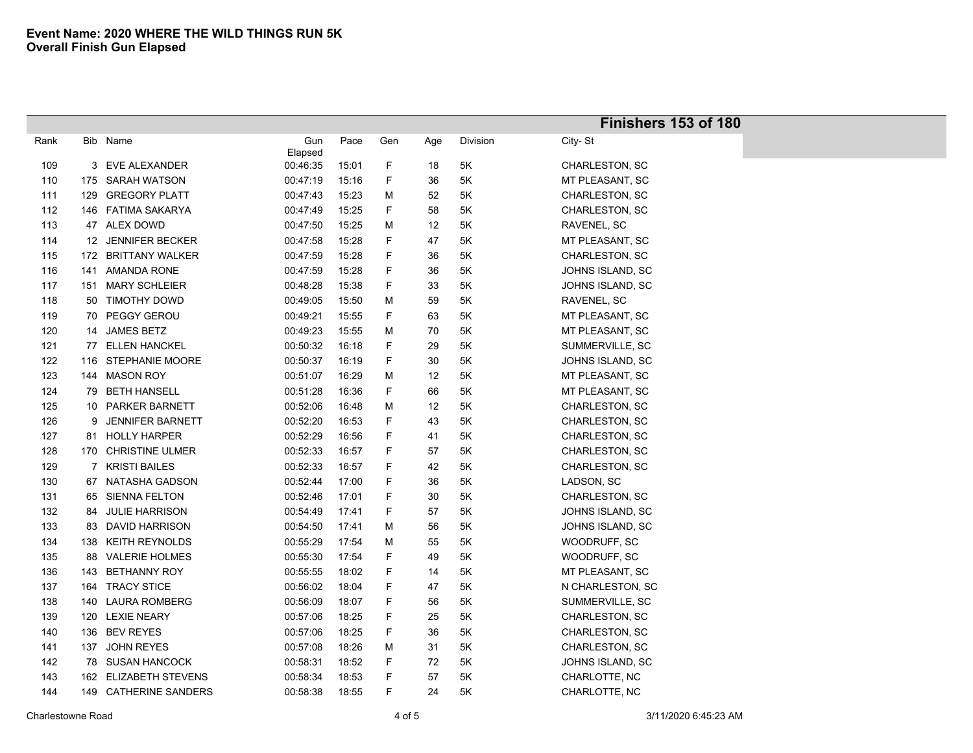|      |     |                         |          |       |     |     |          | Finishers 153 of 180  |
|------|-----|-------------------------|----------|-------|-----|-----|----------|-----------------------|
| Rank |     | Bib Name                | Gun      | Pace  | Gen | Age | Division | City-St               |
|      |     |                         | Elapsed  |       |     |     |          |                       |
| 109  |     | 3 EVE ALEXANDER         | 00:46:35 | 15:01 | F   | 18  | 5K       | CHARLESTON, SC        |
| 110  |     | 175 SARAH WATSON        | 00:47:19 | 15:16 | F   | 36  | 5K       | MT PLEASANT, SC       |
| 111  | 129 | <b>GREGORY PLATT</b>    | 00:47:43 | 15:23 | M   | 52  | 5K       | CHARLESTON, SC        |
| 112  |     | 146 FATIMA SAKARYA      | 00:47:49 | 15:25 | F   | 58  | 5K       | CHARLESTON, SC        |
| 113  |     | 47 ALEX DOWD            | 00:47:50 | 15:25 | M   | 12  | 5K       | RAVENEL, SC           |
| 114  |     | 12 JENNIFER BECKER      | 00:47:58 | 15:28 | F   | 47  | 5Κ       | MT PLEASANT, SC       |
| 115  |     | 172 BRITTANY WALKER     | 00:47:59 | 15:28 | F   | 36  | 5K       | CHARLESTON, SC        |
| 116  | 141 | AMANDA RONE             | 00:47:59 | 15:28 | F   | 36  | 5K       | JOHNS ISLAND, SC      |
| 117  |     | 151 MARY SCHLEIER       | 00:48:28 | 15:38 | F   | 33  | 5Κ       | JOHNS ISLAND, SC      |
| 118  |     | 50 TIMOTHY DOWD         | 00:49:05 | 15:50 | M   | 59  | 5K       | RAVENEL, SC           |
| 119  |     | 70 PEGGY GEROU          | 00:49:21 | 15:55 | F   | 63  | 5K       | MT PLEASANT, SC       |
| 120  |     | 14 JAMES BETZ           | 00:49:23 | 15:55 | M   | 70  | 5K       | MT PLEASANT, SC       |
| 121  |     | 77 ELLEN HANCKEL        | 00:50:32 | 16:18 | F   | 29  | 5K       | SUMMERVILLE, SC       |
| 122  |     | 116 STEPHANIE MOORE     | 00:50:37 | 16:19 | F   | 30  | 5K       | JOHNS ISLAND, SC      |
| 123  |     | 144 MASON ROY           | 00:51:07 | 16:29 | M   | 12  | 5K       | MT PLEASANT, SC       |
| 124  |     | 79 BETH HANSELL         | 00:51:28 | 16:36 | F   | 66  | 5K       | MT PLEASANT, SC       |
| 125  |     | 10 PARKER BARNETT       | 00:52:06 | 16:48 | M   | 12  | 5Κ       | CHARLESTON, SC        |
| 126  | 9   | <b>JENNIFER BARNETT</b> | 00:52:20 | 16:53 | F   | 43  | 5Κ       | CHARLESTON, SC        |
| 127  |     | 81 HOLLY HARPER         | 00:52:29 | 16:56 | F   | 41  | 5K       | CHARLESTON, SC        |
| 128  |     | 170 CHRISTINE ULMER     | 00:52:33 | 16:57 | F   | 57  | 5Κ       | CHARLESTON, SC        |
| 129  |     | 7 KRISTI BAILES         | 00:52:33 | 16:57 | F   | 42  | 5K       | CHARLESTON, SC        |
| 130  |     | 67 NATASHA GADSON       | 00:52:44 | 17:00 | F   | 36  | 5K       | LADSON, SC            |
| 131  |     | 65 SIENNA FELTON        | 00:52:46 | 17:01 | F   | 30  | 5K       | CHARLESTON, SC        |
| 132  | 84  | <b>JULIE HARRISON</b>   | 00:54:49 | 17:41 | F   | 57  | $5K$     | JOHNS ISLAND, SC      |
| 133  |     | 83 DAVID HARRISON       | 00:54:50 | 17:41 | M   | 56  | 5Κ       | JOHNS ISLAND, SC      |
| 134  |     | 138 KEITH REYNOLDS      | 00:55:29 | 17:54 | M   | 55  | 5Κ       | WOODRUFF, SC          |
| 135  |     | 88 VALERIE HOLMES       | 00:55:30 | 17:54 | F   | 49  | 5Κ       | WOODRUFF, SC          |
| 136  |     | 143 BETHANNY ROY        | 00:55:55 | 18:02 | F   | 14  | 5Κ       | MT PLEASANT, SC       |
| 137  |     | 164 TRACY STICE         | 00:56:02 | 18:04 | F   | 47  | 5Κ       | N CHARLESTON, SC      |
| 138  |     | 140 LAURA ROMBERG       | 00:56:09 | 18:07 | F   | 56  | 5K       | SUMMERVILLE, SC       |
| 139  |     | 120 LEXIE NEARY         | 00:57:06 | 18:25 | F   | 25  | 5Κ       | CHARLESTON, SC        |
| 140  |     | 136 BEV REYES           | 00:57:06 | 18:25 | F   | 36  | 5K       | <b>CHARLESTON, SC</b> |
| 141  |     | 137 JOHN REYES          | 00:57:08 | 18:26 | M   | 31  | 5K       | CHARLESTON, SC        |
| 142  |     | 78 SUSAN HANCOCK        | 00:58:31 | 18:52 | F   | 72  | 5K       | JOHNS ISLAND, SC      |
| 143  |     | 162 ELIZABETH STEVENS   | 00:58:34 | 18:53 | F   | 57  | 5K       | CHARLOTTE, NC         |
| 144  |     | 149 CATHERINE SANDERS   | 00:58:38 | 18:55 | F.  | 24  | 5Κ       | CHARLOTTE, NC         |
|      |     |                         |          |       |     |     |          |                       |